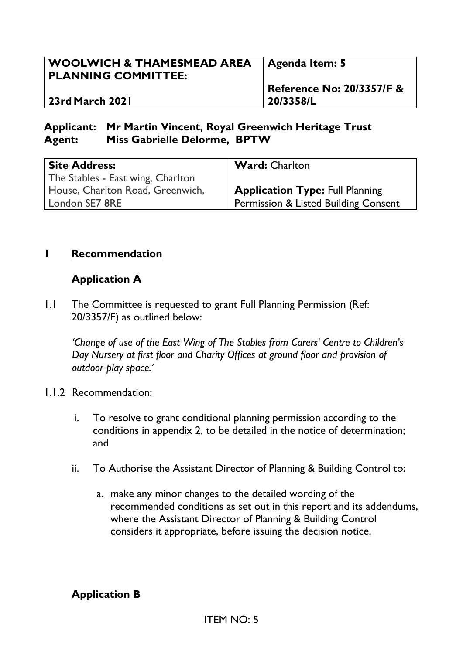| 20/3358/L<br>  23rd March 2021 | $\vert$ Agenda Item: 5               |
|--------------------------------|--------------------------------------|
|                                | <b>Reference No: 20/3357/F &amp;</b> |

### **Applicant: Mr Martin Vincent, Royal Greenwich Heritage Trust Agent: Miss Gabrielle Delorme, BPTW**

| <b>Site Address:</b>              | <b>Ward: Charlton</b>                           |
|-----------------------------------|-------------------------------------------------|
| The Stables - East wing, Charlton |                                                 |
| House, Charlton Road, Greenwich,  | <b>Application Type: Full Planning</b>          |
| London SE7 8RE                    | <b>Permission &amp; Listed Building Consent</b> |

#### **1 Recommendation**

#### **Application A**

1.1 The Committee is requested to grant Full Planning Permission (Ref: 20/3357/F) as outlined below:

*'Change of use of the East Wing of The Stables from Carers' Centre to Children's Day Nursery at first floor and Charity Offices at ground floor and provision of outdoor play space.'*

- 1.1.2 Recommendation:
	- i. To resolve to grant conditional planning permission according to the conditions in appendix 2, to be detailed in the notice of determination; and
	- ii. To Authorise the Assistant Director of Planning & Building Control to:
		- a. make any minor changes to the detailed wording of the recommended conditions as set out in this report and its addendums, where the Assistant Director of Planning & Building Control considers it appropriate, before issuing the decision notice.

#### **Application B**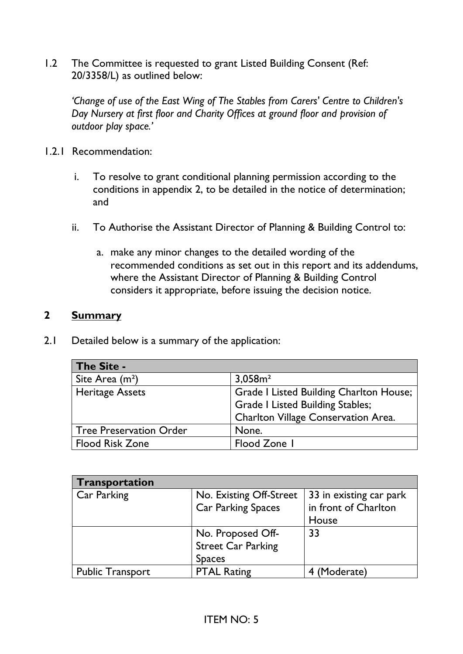1.2 The Committee is requested to grant Listed Building Consent (Ref: 20/3358/L) as outlined below:

*'Change of use of the East Wing of The Stables from Carers' Centre to Children's Day Nursery at first floor and Charity Offices at ground floor and provision of outdoor play space.'*

- 1.2.1 Recommendation:
	- i. To resolve to grant conditional planning permission according to the conditions in appendix 2, to be detailed in the notice of determination; and
	- ii. To Authorise the Assistant Director of Planning & Building Control to:
		- a. make any minor changes to the detailed wording of the recommended conditions as set out in this report and its addendums, where the Assistant Director of Planning & Building Control considers it appropriate, before issuing the decision notice.

#### **2 Summary**

2.1 Detailed below is a summary of the application:

| The Site -                  |                                         |
|-----------------------------|-----------------------------------------|
| Site Area (m <sup>2</sup> ) | 3,058m <sup>2</sup>                     |
| Heritage Assets             | Grade I Listed Building Charlton House; |
|                             | <b>Grade I Listed Building Stables;</b> |
|                             | Charlton Village Conservation Area.     |
| Tree Preservation Order     | None.                                   |
| Flood Risk Zone             | Flood Zone I                            |

| Transportation          |                           |                         |
|-------------------------|---------------------------|-------------------------|
| Car Parking             | No. Existing Off-Street   | 33 in existing car park |
|                         | <b>Car Parking Spaces</b> | in front of Charlton    |
|                         |                           | House                   |
|                         | No. Proposed Off-         | 33                      |
|                         | <b>Street Car Parking</b> |                         |
|                         | <b>Spaces</b>             |                         |
| <b>Public Transport</b> | <b>PTAL Rating</b>        | 4 (Moderate)            |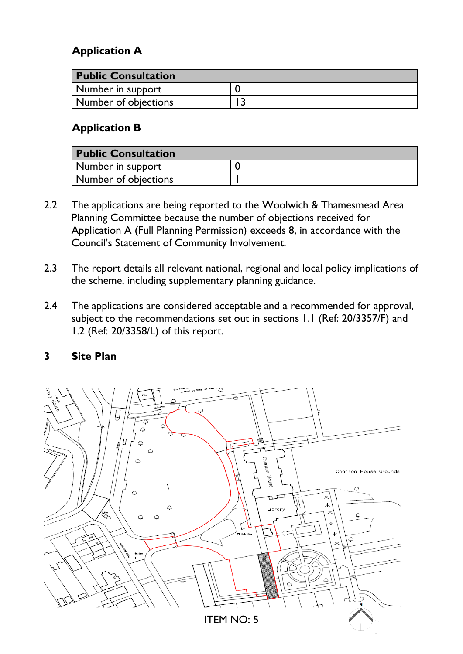# **Application A**

| <b>Public Consultation</b> |  |
|----------------------------|--|
| Number in support          |  |
| Number of objections       |  |

## **Application B**

| <b>Public Consultation</b> |  |
|----------------------------|--|
| Number in support          |  |
| Number of objections       |  |

- 2.2 The applications are being reported to the Woolwich & Thamesmead Area Planning Committee because the number of objections received for Application A (Full Planning Permission) exceeds 8, in accordance with the Council's Statement of Community Involvement.
- 2.3 The report details all relevant national, regional and local policy implications of the scheme, including supplementary planning guidance.
- 2.4 The applications are considered acceptable and a recommended for approval, subject to the recommendations set out in sections 1.1 (Ref: 20/3357/F) and 1.2 (Ref: 20/3358/L) of this report.

#### **3 Site Plan**

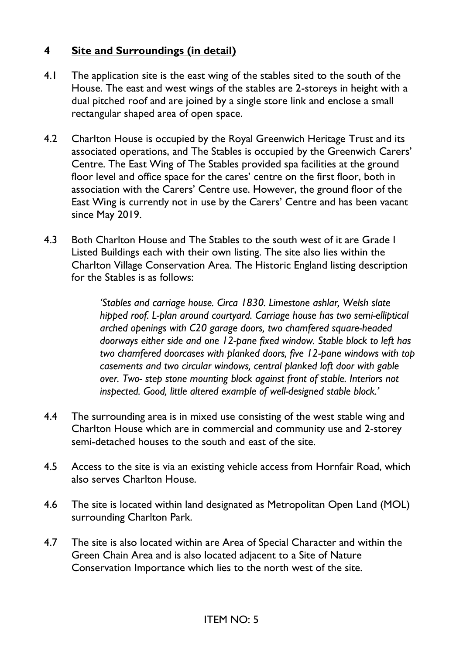### **4 Site and Surroundings (in detail)**

- 4.1 The application site is the east wing of the stables sited to the south of the House. The east and west wings of the stables are 2-storeys in height with a dual pitched roof and are joined by a single store link and enclose a small rectangular shaped area of open space.
- 4.2 Charlton House is occupied by the Royal Greenwich Heritage Trust and its associated operations, and The Stables is occupied by the Greenwich Carers' Centre. The East Wing of The Stables provided spa facilities at the ground floor level and office space for the cares' centre on the first floor, both in association with the Carers' Centre use. However, the ground floor of the East Wing is currently not in use by the Carers' Centre and has been vacant since May 2019.
- 4.3 Both Charlton House and The Stables to the south west of it are Grade I Listed Buildings each with their own listing. The site also lies within the Charlton Village Conservation Area. The Historic England listing description for the Stables is as follows:

*'Stables and carriage house. Circa 1830. Limestone ashlar, Welsh slate hipped roof. L-plan around courtyard. Carriage house has two semi-elliptical arched openings with C20 garage doors, two chamfered square-headed doorways either side and one 12-pane fixed window. Stable block to left has two chamfered doorcases with planked doors, five 12-pane windows with top casements and two circular windows, central planked loft door with gable over. Two- step stone mounting block against front of stable. Interiors not inspected. Good, little altered example of well-designed stable block.'*

- 4.4 The surrounding area is in mixed use consisting of the west stable wing and Charlton House which are in commercial and community use and 2-storey semi-detached houses to the south and east of the site.
- 4.5 Access to the site is via an existing vehicle access from Hornfair Road, which also serves Charlton House.
- 4.6 The site is located within land designated as Metropolitan Open Land (MOL) surrounding Charlton Park.
- 4.7 The site is also located within are Area of Special Character and within the Green Chain Area and is also located adjacent to a Site of Nature Conservation Importance which lies to the north west of the site.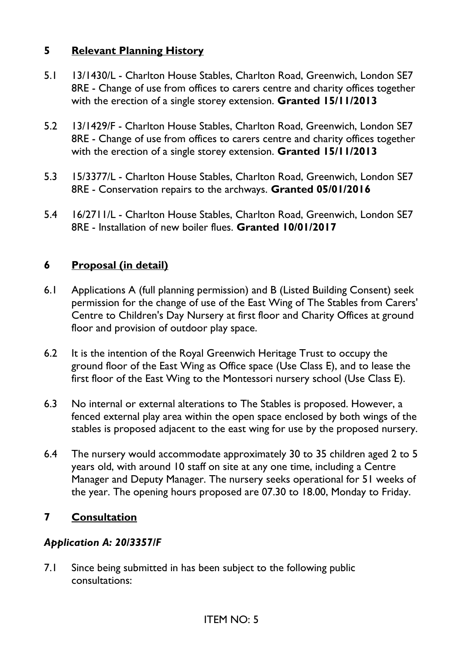### **5 Relevant Planning History**

- 5.1 13/1430/L Charlton House Stables, Charlton Road, Greenwich, London SE7 8RE - Change of use from offices to carers centre and charity offices together with the erection of a single storey extension. **Granted 15/11/2013**
- 5.2 13/1429/F Charlton House Stables, Charlton Road, Greenwich, London SE7 8RE - Change of use from offices to carers centre and charity offices together with the erection of a single storey extension. **Granted 15/11/2013**
- 5.3 15/3377/L Charlton House Stables, Charlton Road, Greenwich, London SE7 8RE - Conservation repairs to the archways. **Granted 05/01/2016**
- 5.4 16/2711/L Charlton House Stables, Charlton Road, Greenwich, London SE7 8RE - Installation of new boiler flues. **Granted 10/01/2017**

## **6 Proposal (in detail)**

- 6.1 Applications A (full planning permission) and B (Listed Building Consent) seek permission for the change of use of the East Wing of The Stables from Carers' Centre to Children's Day Nursery at first floor and Charity Offices at ground floor and provision of outdoor play space.
- 6.2 It is the intention of the Royal Greenwich Heritage Trust to occupy the ground floor of the East Wing as Office space (Use Class E), and to lease the first floor of the East Wing to the Montessori nursery school (Use Class E).
- 6.3 No internal or external alterations to The Stables is proposed. However, a fenced external play area within the open space enclosed by both wings of the stables is proposed adjacent to the east wing for use by the proposed nursery.
- 6.4 The nursery would accommodate approximately 30 to 35 children aged 2 to 5 years old, with around 10 staff on site at any one time, including a Centre Manager and Deputy Manager. The nursery seeks operational for 51 weeks of the year. The opening hours proposed are 07.30 to 18.00, Monday to Friday.

## **7 Consultation**

#### *Application A: 20/3357/F*

7.1 Since being submitted in has been subject to the following public consultations: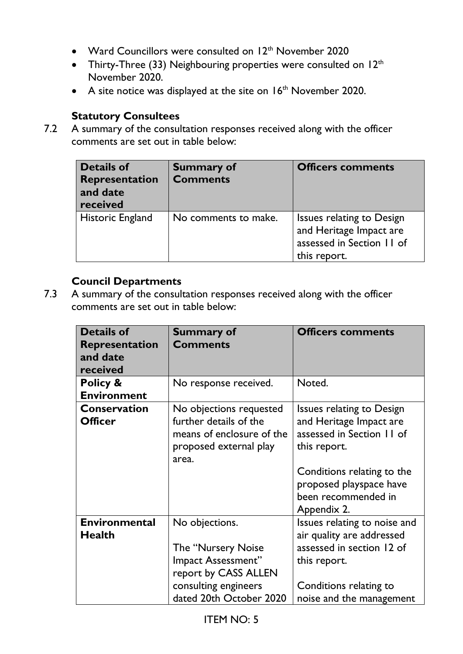- Ward Councillors were consulted on 12<sup>th</sup> November 2020
- Thirty-Three (33) Neighbouring properties were consulted on  $12<sup>th</sup>$ November 2020.
- A site notice was displayed at the site on  $16<sup>th</sup>$  November 2020.

# **Statutory Consultees**

7.2 A summary of the consultation responses received along with the officer comments are set out in table below:

| <b>Details of</b><br>Representation<br>and date<br>received | <b>Summary of</b><br><b>Comments</b> | <b>Officers comments</b>                                                                          |
|-------------------------------------------------------------|--------------------------------------|---------------------------------------------------------------------------------------------------|
| Historic England                                            | No comments to make.                 | Issues relating to Design<br>and Heritage Impact are<br>assessed in Section 11 of<br>this report. |

# **Council Departments**

7.3 A summary of the consultation responses received along with the officer comments are set out in table below:

| <b>Details of</b><br><b>Representation</b><br>and date<br>received | <b>Summary of</b><br><b>Comments</b>                                                                                                   | <b>Officers comments</b>                                                                                                                                                                                |
|--------------------------------------------------------------------|----------------------------------------------------------------------------------------------------------------------------------------|---------------------------------------------------------------------------------------------------------------------------------------------------------------------------------------------------------|
| Policy &<br><b>Environment</b>                                     | No response received.                                                                                                                  | Noted.                                                                                                                                                                                                  |
| <b>Conservation</b><br><b>Officer</b>                              | No objections requested<br>further details of the<br>means of enclosure of the<br>proposed external play<br>area.                      | <b>Issues relating to Design</b><br>and Heritage Impact are<br>assessed in Section 11 of<br>this report.<br>Conditions relating to the<br>proposed playspace have<br>been recommended in<br>Appendix 2. |
| <b>Environmental</b><br><b>Health</b>                              | No objections.<br>The "Nursery Noise"<br>Impact Assessment"<br>report by CASS ALLEN<br>consulting engineers<br>dated 20th October 2020 | Issues relating to noise and<br>air quality are addressed<br>assessed in section 12 of<br>this report.<br>Conditions relating to<br>noise and the management                                            |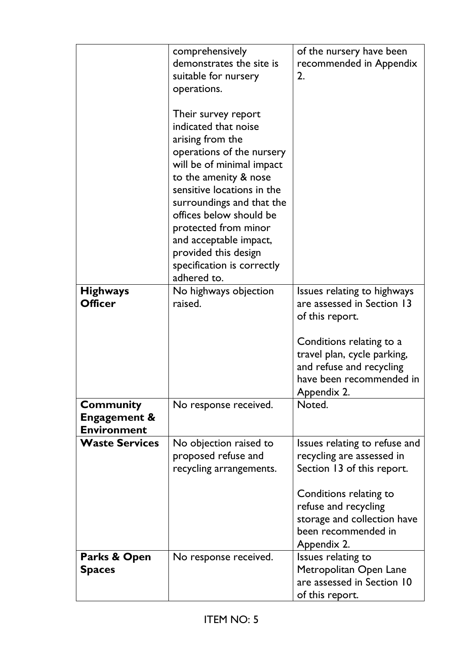|                                                                   | comprehensively<br>demonstrates the site is<br>suitable for nursery<br>operations.<br>Their survey report<br>indicated that noise<br>arising from the<br>operations of the nursery<br>will be of minimal impact<br>to the amenity & nose<br>sensitive locations in the<br>surroundings and that the<br>offices below should be | of the nursery have been<br>recommended in Appendix<br>2.                                                                                                                                                       |
|-------------------------------------------------------------------|--------------------------------------------------------------------------------------------------------------------------------------------------------------------------------------------------------------------------------------------------------------------------------------------------------------------------------|-----------------------------------------------------------------------------------------------------------------------------------------------------------------------------------------------------------------|
|                                                                   | protected from minor<br>and acceptable impact,<br>provided this design<br>specification is correctly<br>adhered to.                                                                                                                                                                                                            |                                                                                                                                                                                                                 |
| <b>Highways</b><br><b>Officer</b>                                 | No highways objection<br>raised.                                                                                                                                                                                                                                                                                               | Issues relating to highways<br>are assessed in Section 13<br>of this report.<br>Conditions relating to a<br>travel plan, cycle parking,<br>and refuse and recycling<br>have been recommended in<br>Appendix 2.  |
| <b>Community</b><br><b>Engagement &amp;</b><br><b>Environment</b> | No response received.                                                                                                                                                                                                                                                                                                          | Noted.                                                                                                                                                                                                          |
| <b>Waste Services</b>                                             | No objection raised to<br>proposed refuse and<br>recycling arrangements.                                                                                                                                                                                                                                                       | Issues relating to refuse and<br>recycling are assessed in<br>Section 13 of this report.<br>Conditions relating to<br>refuse and recycling<br>storage and collection have<br>been recommended in<br>Appendix 2. |
| Parks & Open<br><b>Spaces</b>                                     | No response received.                                                                                                                                                                                                                                                                                                          | Issues relating to<br>Metropolitan Open Lane<br>are assessed in Section 10<br>of this report.                                                                                                                   |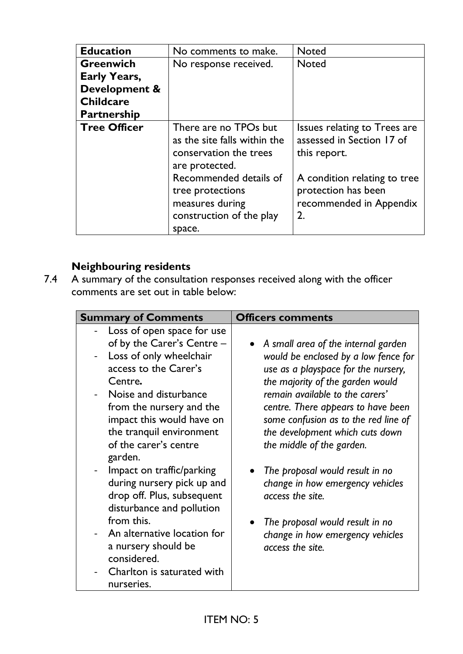| <b>Education</b>    | No comments to make.                                                                                | <b>Noted</b>                                                                         |
|---------------------|-----------------------------------------------------------------------------------------------------|--------------------------------------------------------------------------------------|
| <b>Greenwich</b>    | No response received.                                                                               | <b>Noted</b>                                                                         |
| <b>Early Years,</b> |                                                                                                     |                                                                                      |
| Development &       |                                                                                                     |                                                                                      |
| <b>Childcare</b>    |                                                                                                     |                                                                                      |
| <b>Partnership</b>  |                                                                                                     |                                                                                      |
| <b>Tree Officer</b> | There are no TPOs but<br>as the site falls within the<br>conservation the trees<br>are protected.   | Issues relating to Trees are<br>assessed in Section 17 of<br>this report.            |
|                     | Recommended details of<br>tree protections<br>measures during<br>construction of the play<br>space. | A condition relating to tree<br>protection has been<br>recommended in Appendix<br>2. |

# **Neighbouring residents**

7.4 A summary of the consultation responses received along with the officer comments are set out in table below:

| <b>Summary of Comments</b>                                                                                                                                                                                                                                                                  | <b>Officers comments</b>                                                                                                                                                                                                                                                                                                                |
|---------------------------------------------------------------------------------------------------------------------------------------------------------------------------------------------------------------------------------------------------------------------------------------------|-----------------------------------------------------------------------------------------------------------------------------------------------------------------------------------------------------------------------------------------------------------------------------------------------------------------------------------------|
| Loss of open space for use<br>of by the Carer's Centre -<br>Loss of only wheelchair<br>$\blacksquare$<br>access to the Carer's<br>Centre.<br>Noise and disturbance<br>from the nursery and the<br>impact this would have on<br>the tranquil environment<br>of the carer's centre<br>garden. | A small area of the internal garden<br>would be enclosed by a low fence for<br>use as a playspace for the nursery,<br>the majority of the garden would<br>remain available to the carers'<br>centre. There appears to have been<br>some confusion as to the red line of<br>the development which cuts down<br>the middle of the garden. |
| Impact on traffic/parking<br>during nursery pick up and<br>drop off. Plus, subsequent<br>disturbance and pollution<br>from this.<br>An alternative location for<br>a nursery should be<br>considered.<br>Charlton is saturated with<br>nurseries.                                           | The proposal would result in no<br>change in how emergency vehicles<br>access the site.<br>The proposal would result in no<br>change in how emergency vehicles<br>access the site.                                                                                                                                                      |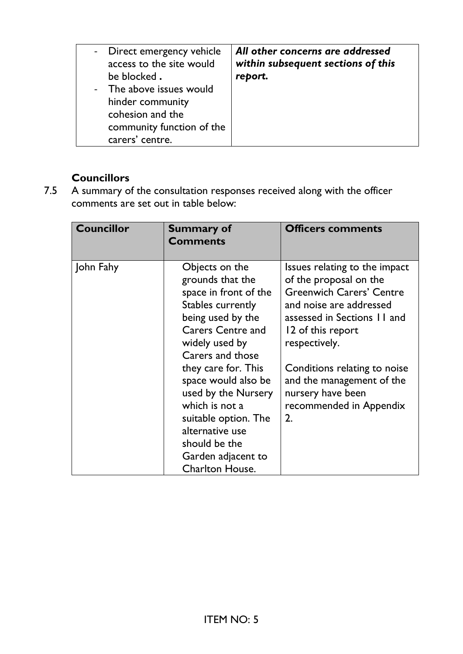| - Direct emergency vehicle<br>access to the site would<br>be blocked.<br>- The above issues would<br>hinder community<br>cohesion and the<br>community function of the<br>carers' centre. | All other concerns are addressed<br>within subsequent sections of this<br>report. |
|-------------------------------------------------------------------------------------------------------------------------------------------------------------------------------------------|-----------------------------------------------------------------------------------|
|-------------------------------------------------------------------------------------------------------------------------------------------------------------------------------------------|-----------------------------------------------------------------------------------|

# **Councillors**

7.5 A summary of the consultation responses received along with the officer comments are set out in table below:

| <b>Councillor</b> | <b>Summary of</b><br><b>Comments</b>                                                                                                                                                                                                                                                                                                                                       | <b>Officers comments</b>                                                                                                                                                                                                                                                                                      |
|-------------------|----------------------------------------------------------------------------------------------------------------------------------------------------------------------------------------------------------------------------------------------------------------------------------------------------------------------------------------------------------------------------|---------------------------------------------------------------------------------------------------------------------------------------------------------------------------------------------------------------------------------------------------------------------------------------------------------------|
| John Fahy         | Objects on the<br>grounds that the<br>space in front of the<br>Stables currently<br>being used by the<br><b>Carers Centre and</b><br>widely used by<br>Carers and those<br>they care for. This<br>space would also be<br>used by the Nursery<br>which is not a<br>suitable option. The<br>alternative use<br>should be the<br>Garden adjacent to<br><b>Charlton House.</b> | Issues relating to the impact<br>of the proposal on the<br><b>Greenwich Carers' Centre</b><br>and noise are addressed<br>assessed in Sections 11 and<br>12 of this report<br>respectively.<br>Conditions relating to noise<br>and the management of the<br>nursery have been<br>recommended in Appendix<br>2. |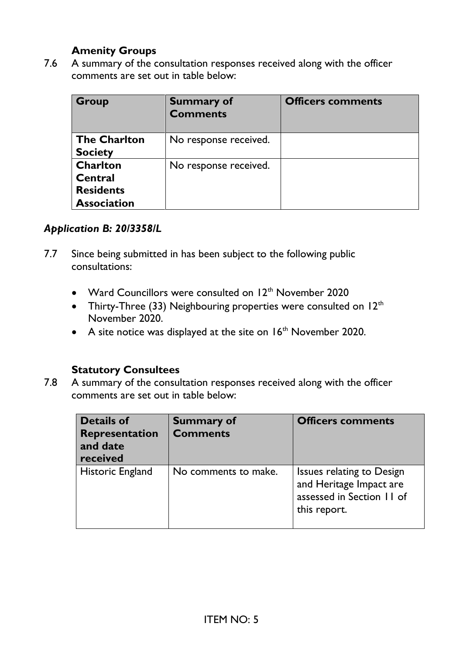### **Amenity Groups**

7.6 A summary of the consultation responses received along with the officer comments are set out in table below:

| Group                                                                | <b>Summary of</b><br><b>Comments</b> | <b>Officers comments</b> |
|----------------------------------------------------------------------|--------------------------------------|--------------------------|
| <b>The Charlton</b><br><b>Society</b>                                | No response received.                |                          |
| <b>Charlton</b><br>Central<br><b>Residents</b><br><b>Association</b> | No response received.                |                          |

#### *Application B: 20/3358/L*

- 7.7 Since being submitted in has been subject to the following public consultations:
	- Ward Councillors were consulted on  $12<sup>th</sup>$  November 2020
	- Thirty-Three (33) Neighbouring properties were consulted on  $12<sup>th</sup>$ November 2020.
	- A site notice was displayed at the site on  $16<sup>th</sup>$  November 2020.

#### **Statutory Consultees**

7.8 A summary of the consultation responses received along with the officer comments are set out in table below:

| <b>Details of</b><br>Representation<br>and date<br>received | <b>Summary of</b><br><b>Comments</b> | <b>Officers comments</b>                                                                          |
|-------------------------------------------------------------|--------------------------------------|---------------------------------------------------------------------------------------------------|
| <b>Historic England</b>                                     | No comments to make.                 | Issues relating to Design<br>and Heritage Impact are<br>assessed in Section 11 of<br>this report. |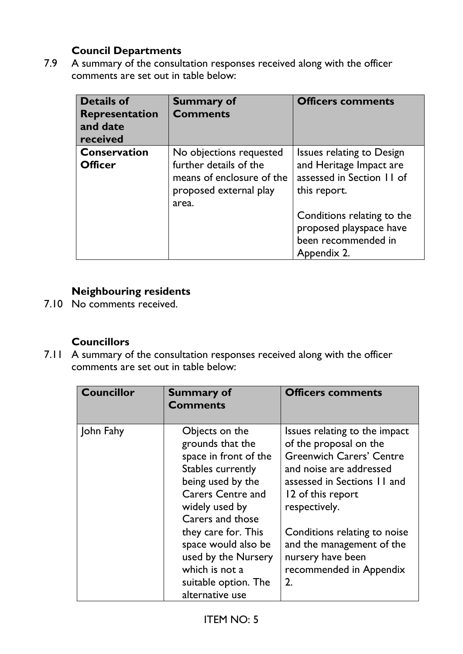# **Council Departments**

7.9 A summary of the consultation responses received along with the officer comments are set out in table below:

| <b>Details of</b><br><b>Representation</b><br>and date<br>received | <b>Summary of</b><br><b>Comments</b>                                                                              | <b>Officers comments</b>                                                                          |
|--------------------------------------------------------------------|-------------------------------------------------------------------------------------------------------------------|---------------------------------------------------------------------------------------------------|
| <b>Conservation</b><br><b>Officer</b>                              | No objections requested<br>further details of the<br>means of enclosure of the<br>proposed external play<br>area. | Issues relating to Design<br>and Heritage Impact are<br>assessed in Section 11 of<br>this report. |
|                                                                    |                                                                                                                   | Conditions relating to the<br>proposed playspace have<br>been recommended in<br>Appendix 2.       |

# **Neighbouring residents**

7.10 No comments received.

### **Councillors**

7.11 A summary of the consultation responses received along with the officer comments are set out in table below:

| <b>Councillor</b> | <b>Summary of</b><br><b>Comments</b>                                                                                                                                                                                                                                                                      | <b>Officers comments</b>                                                                                                                                                                                                                                                                                      |
|-------------------|-----------------------------------------------------------------------------------------------------------------------------------------------------------------------------------------------------------------------------------------------------------------------------------------------------------|---------------------------------------------------------------------------------------------------------------------------------------------------------------------------------------------------------------------------------------------------------------------------------------------------------------|
| John Fahy         | Objects on the<br>grounds that the<br>space in front of the<br>Stables currently<br>being used by the<br><b>Carers Centre and</b><br>widely used by<br>Carers and those<br>they care for. This<br>space would also be<br>used by the Nursery<br>which is not a<br>suitable option. The<br>alternative use | Issues relating to the impact<br>of the proposal on the<br><b>Greenwich Carers' Centre</b><br>and noise are addressed<br>assessed in Sections 11 and<br>12 of this report<br>respectively.<br>Conditions relating to noise<br>and the management of the<br>nursery have been<br>recommended in Appendix<br>2. |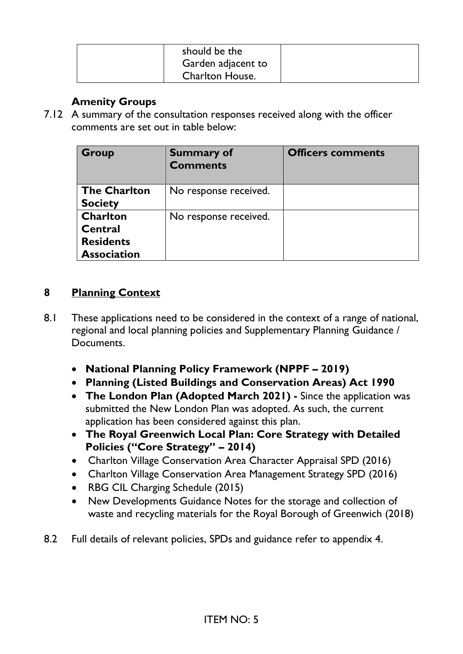| should be the          |  |
|------------------------|--|
| Garden adjacent to     |  |
| <b>Charlton House.</b> |  |

### **Amenity Groups**

7.12 A summary of the consultation responses received along with the officer comments are set out in table below:

| <b>Group</b>                                                         | <b>Summary of</b><br><b>Comments</b> | <b>Officers comments</b> |
|----------------------------------------------------------------------|--------------------------------------|--------------------------|
| <b>The Charlton</b><br><b>Society</b>                                | No response received.                |                          |
| <b>Charlton</b><br>Central<br><b>Residents</b><br><b>Association</b> | No response received.                |                          |

### **8 Planning Context**

- 8.1 These applications need to be considered in the context of a range of national, regional and local planning policies and Supplementary Planning Guidance / Documents.
	- **National Planning Policy Framework (NPPF – 2019)**
	- **Planning (Listed Buildings and Conservation Areas) Act 1990**
	- **The London Plan (Adopted March 2021) -** Since the application was submitted the New London Plan was adopted. As such, the current application has been considered against this plan.
	- **The Royal Greenwich Local Plan: Core Strategy with Detailed Policies ("Core Strategy" – 2014)**
	- Charlton Village Conservation Area Character Appraisal SPD (2016)
	- Charlton Village Conservation Area Management Strategy SPD (2016)
	- RBG CIL Charging Schedule (2015)
	- New Developments Guidance Notes for the storage and collection of waste and recycling materials for the Royal Borough of Greenwich (2018)
- 8.2 Full details of relevant policies, SPDs and guidance refer to appendix 4.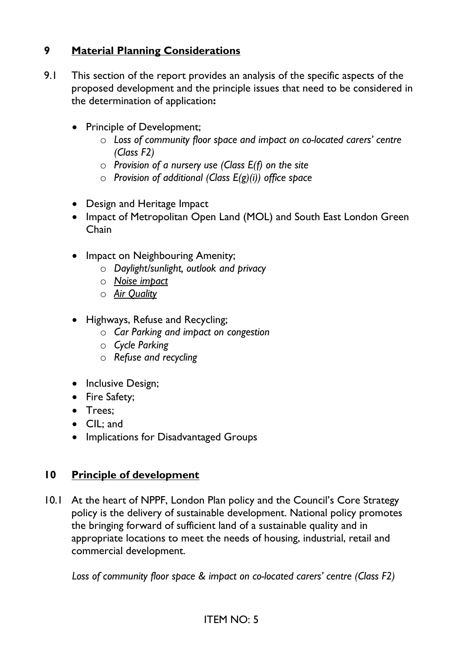# **9 Material Planning Considerations**

- 9.1 This section of the report provides an analysis of the specific aspects of the proposed development and the principle issues that need to be considered in the determination of application**:**
	- Principle of Development;
		- o *Loss of community floor space and impact on co-located carers' centre (Class F2)*
		- o *Provision of a nursery use (Class E(f) on the site*
		- o *Provision of additional (Class E(g)(i)) office space*
	- Design and Heritage Impact
	- Impact of Metropolitan Open Land (MOL) and South East London Green Chain
	- Impact on Neighbouring Amenity;
		- o *Daylight/sunlight, outlook and privacy*
		- o *Noise impact*
		- o *Air Quality*
	- Highways, Refuse and Recycling;
		- o *Car Parking and impact on congestion*
		- o *Cycle Parking*
		- o *Refuse and recycling*
	- Inclusive Design;
	- Fire Safety;
	- Trees;
	- CIL; and
	- Implications for Disadvantaged Groups

## **10 Principle of development**

10.1 At the heart of NPPF, London Plan policy and the Council's Core Strategy policy is the delivery of sustainable development. National policy promotes the bringing forward of sufficient land of a sustainable quality and in appropriate locations to meet the needs of housing, industrial, retail and commercial development.

*Loss of community floor space & impact on co-located carers' centre (Class F2)*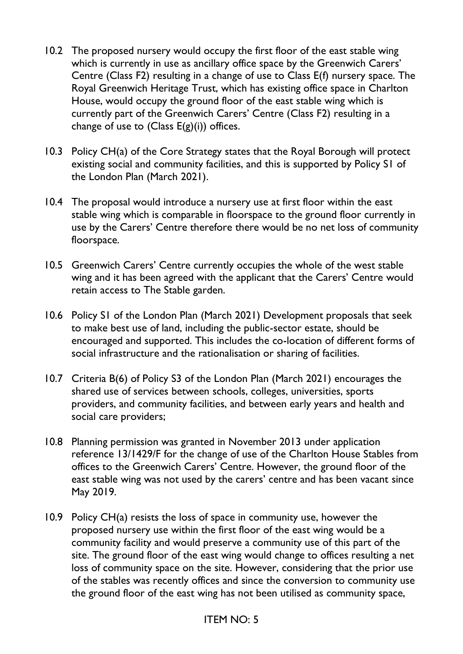- 10.2 The proposed nursery would occupy the first floor of the east stable wing which is currently in use as ancillary office space by the Greenwich Carers' Centre (Class F2) resulting in a change of use to Class E(f) nursery space. The Royal Greenwich Heritage Trust, which has existing office space in Charlton House, would occupy the ground floor of the east stable wing which is currently part of the Greenwich Carers' Centre (Class F2) resulting in a change of use to  $(Class E(g)(i))$  offices.
- 10.3 Policy CH(a) of the Core Strategy states that the Royal Borough will protect existing social and community facilities, and this is supported by Policy S1 of the London Plan (March 2021).
- 10.4 The proposal would introduce a nursery use at first floor within the east stable wing which is comparable in floorspace to the ground floor currently in use by the Carers' Centre therefore there would be no net loss of community floorspace.
- 10.5 Greenwich Carers' Centre currently occupies the whole of the west stable wing and it has been agreed with the applicant that the Carers' Centre would retain access to The Stable garden.
- 10.6 Policy S1 of the London Plan (March 2021) Development proposals that seek to make best use of land, including the public-sector estate, should be encouraged and supported. This includes the co-location of different forms of social infrastructure and the rationalisation or sharing of facilities.
- 10.7 Criteria B(6) of Policy S3 of the London Plan (March 2021) encourages the shared use of services between schools, colleges, universities, sports providers, and community facilities, and between early years and health and social care providers;
- 10.8 Planning permission was granted in November 2013 under application reference 13/1429/F for the change of use of the Charlton House Stables from offices to the Greenwich Carers' Centre. However, the ground floor of the east stable wing was not used by the carers' centre and has been vacant since May 2019.
- 10.9 Policy CH(a) resists the loss of space in community use, however the proposed nursery use within the first floor of the east wing would be a community facility and would preserve a community use of this part of the site. The ground floor of the east wing would change to offices resulting a net loss of community space on the site. However, considering that the prior use of the stables was recently offices and since the conversion to community use the ground floor of the east wing has not been utilised as community space,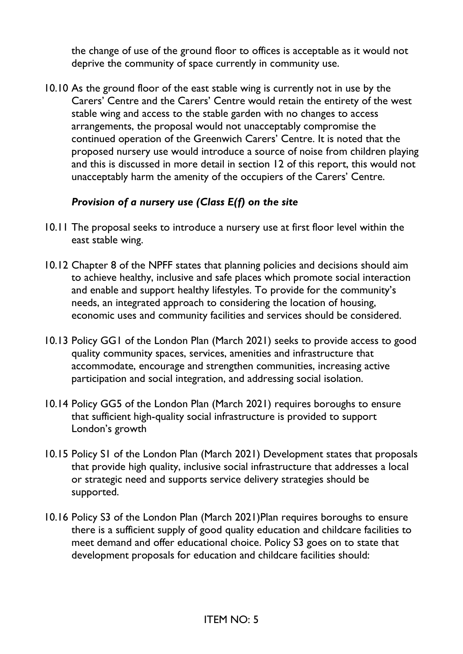the change of use of the ground floor to offices is acceptable as it would not deprive the community of space currently in community use.

10.10 As the ground floor of the east stable wing is currently not in use by the Carers' Centre and the Carers' Centre would retain the entirety of the west stable wing and access to the stable garden with no changes to access arrangements, the proposal would not unacceptably compromise the continued operation of the Greenwich Carers' Centre. It is noted that the proposed nursery use would introduce a source of noise from children playing and this is discussed in more detail in section 12 of this report, this would not unacceptably harm the amenity of the occupiers of the Carers' Centre.

### *Provision of a nursery use (Class E(f) on the site*

- 10.11 The proposal seeks to introduce a nursery use at first floor level within the east stable wing.
- 10.12 Chapter 8 of the NPFF states that planning policies and decisions should aim to achieve healthy, inclusive and safe places which promote social interaction and enable and support healthy lifestyles. To provide for the community's needs, an integrated approach to considering the location of housing, economic uses and community facilities and services should be considered.
- 10.13 Policy GG1 of the London Plan (March 2021) seeks to provide access to good quality community spaces, services, amenities and infrastructure that accommodate, encourage and strengthen communities, increasing active participation and social integration, and addressing social isolation.
- 10.14 Policy GG5 of the London Plan (March 2021) requires boroughs to ensure that sufficient high-quality social infrastructure is provided to support London's growth
- 10.15 Policy S1 of the London Plan (March 2021) Development states that proposals that provide high quality, inclusive social infrastructure that addresses a local or strategic need and supports service delivery strategies should be supported.
- 10.16 Policy S3 of the London Plan (March 2021)Plan requires boroughs to ensure there is a sufficient supply of good quality education and childcare facilities to meet demand and offer educational choice. Policy S3 goes on to state that development proposals for education and childcare facilities should: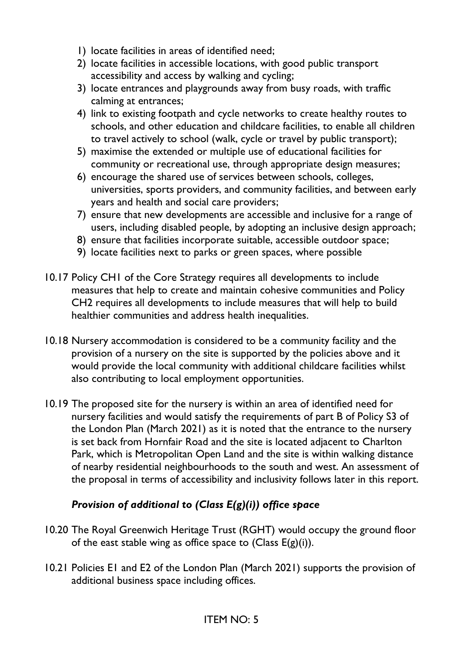- 1) locate facilities in areas of identified need;
- 2) locate facilities in accessible locations, with good public transport accessibility and access by walking and cycling;
- 3) locate entrances and playgrounds away from busy roads, with traffic calming at entrances;
- 4) link to existing footpath and cycle networks to create healthy routes to schools, and other education and childcare facilities, to enable all children to travel actively to school (walk, cycle or travel by public transport);
- 5) maximise the extended or multiple use of educational facilities for community or recreational use, through appropriate design measures;
- 6) encourage the shared use of services between schools, colleges, universities, sports providers, and community facilities, and between early years and health and social care providers;
- 7) ensure that new developments are accessible and inclusive for a range of users, including disabled people, by adopting an inclusive design approach;
- 8) ensure that facilities incorporate suitable, accessible outdoor space;
- 9) locate facilities next to parks or green spaces, where possible
- 10.17 Policy CH1 of the Core Strategy requires all developments to include measures that help to create and maintain cohesive communities and Policy CH2 requires all developments to include measures that will help to build healthier communities and address health inequalities.
- 10.18 Nursery accommodation is considered to be a community facility and the provision of a nursery on the site is supported by the policies above and it would provide the local community with additional childcare facilities whilst also contributing to local employment opportunities.
- 10.19 The proposed site for the nursery is within an area of identified need for nursery facilities and would satisfy the requirements of part B of Policy S3 of the London Plan (March 2021) as it is noted that the entrance to the nursery is set back from Hornfair Road and the site is located adjacent to Charlton Park, which is Metropolitan Open Land and the site is within walking distance of nearby residential neighbourhoods to the south and west. An assessment of the proposal in terms of accessibility and inclusivity follows later in this report.

## *Provision of additional to (Class E(g)(i)) office space*

- 10.20 The Royal Greenwich Heritage Trust (RGHT) would occupy the ground floor of the east stable wing as office space to (Class  $E(g)(i)$ ).
- 10.21 Policies E1 and E2 of the London Plan (March 2021) supports the provision of additional business space including offices.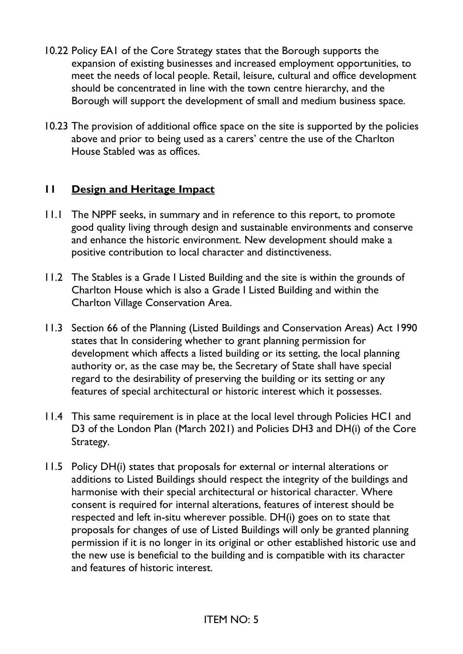- 10.22 Policy EA1 of the Core Strategy states that the Borough supports the expansion of existing businesses and increased employment opportunities, to meet the needs of local people. Retail, leisure, cultural and office development should be concentrated in line with the town centre hierarchy, and the Borough will support the development of small and medium business space.
- 10.23 The provision of additional office space on the site is supported by the policies above and prior to being used as a carers' centre the use of the Charlton House Stabled was as offices.

### **11 Design and Heritage Impact**

- 11.1 The NPPF seeks, in summary and in reference to this report, to promote good quality living through design and sustainable environments and conserve and enhance the historic environment. New development should make a positive contribution to local character and distinctiveness.
- 11.2 The Stables is a Grade I Listed Building and the site is within the grounds of Charlton House which is also a Grade I Listed Building and within the Charlton Village Conservation Area.
- 11.3 Section 66 of the Planning (Listed Buildings and Conservation Areas) Act 1990 states that In considering whether to grant planning permission for development which affects a listed building or its setting, the local planning authority or, as the case may be, the Secretary of State shall have special regard to the desirability of preserving the building or its setting or any features of special architectural or historic interest which it possesses.
- 11.4 This same requirement is in place at the local level through Policies HC1 and D3 of the London Plan (March 2021) and Policies DH3 and DH(i) of the Core Strategy.
- 11.5 Policy DH(i) states that proposals for external or internal alterations or additions to Listed Buildings should respect the integrity of the buildings and harmonise with their special architectural or historical character. Where consent is required for internal alterations, features of interest should be respected and left in-situ wherever possible. DH(i) goes on to state that proposals for changes of use of Listed Buildings will only be granted planning permission if it is no longer in its original or other established historic use and the new use is beneficial to the building and is compatible with its character and features of historic interest.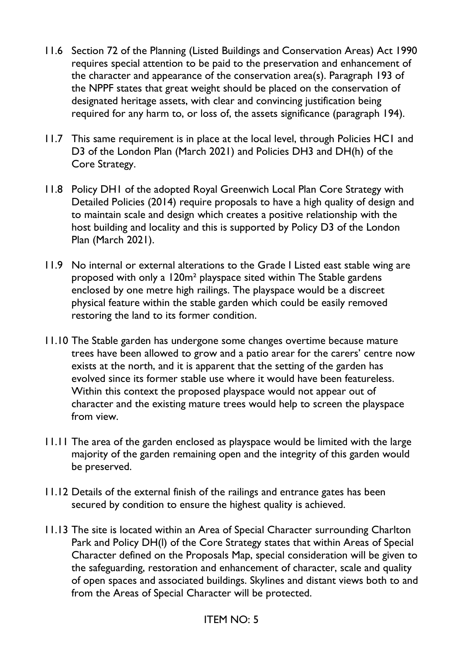- 11.6 Section 72 of the Planning (Listed Buildings and Conservation Areas) Act 1990 requires special attention to be paid to the preservation and enhancement of the character and appearance of the conservation area(s). Paragraph 193 of the NPPF states that great weight should be placed on the conservation of designated heritage assets, with clear and convincing justification being required for any harm to, or loss of, the assets significance (paragraph 194).
- 11.7 This same requirement is in place at the local level, through Policies HC1 and D3 of the London Plan (March 2021) and Policies DH3 and DH(h) of the Core Strategy.
- 11.8 Policy DH1 of the adopted Royal Greenwich Local Plan Core Strategy with Detailed Policies (2014) require proposals to have a high quality of design and to maintain scale and design which creates a positive relationship with the host building and locality and this is supported by Policy D3 of the London Plan (March 2021).
- 11.9 No internal or external alterations to the Grade I Listed east stable wing are proposed with only a 120m² playspace sited within The Stable gardens enclosed by one metre high railings. The playspace would be a discreet physical feature within the stable garden which could be easily removed restoring the land to its former condition.
- 11.10 The Stable garden has undergone some changes overtime because mature trees have been allowed to grow and a patio arear for the carers' centre now exists at the north, and it is apparent that the setting of the garden has evolved since its former stable use where it would have been featureless. Within this context the proposed playspace would not appear out of character and the existing mature trees would help to screen the playspace from view.
- 11.11 The area of the garden enclosed as playspace would be limited with the large majority of the garden remaining open and the integrity of this garden would be preserved.
- 11.12 Details of the external finish of the railings and entrance gates has been secured by condition to ensure the highest quality is achieved.
- 11.13 The site is located within an Area of Special Character surrounding Charlton Park and Policy DH(l) of the Core Strategy states that within Areas of Special Character defined on the Proposals Map, special consideration will be given to the safeguarding, restoration and enhancement of character, scale and quality of open spaces and associated buildings. Skylines and distant views both to and from the Areas of Special Character will be protected.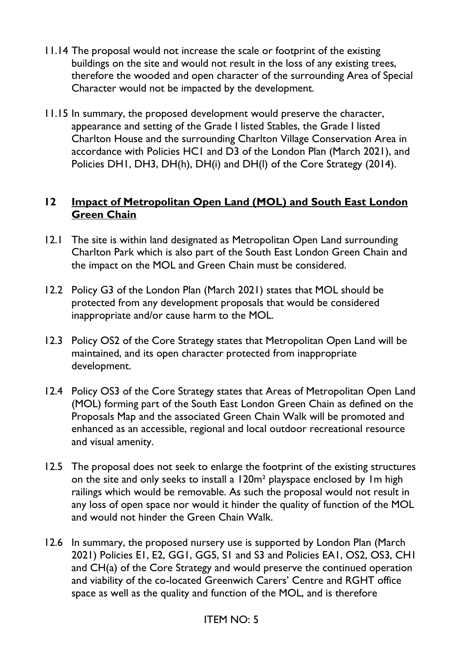- 11.14 The proposal would not increase the scale or footprint of the existing buildings on the site and would not result in the loss of any existing trees, therefore the wooded and open character of the surrounding Area of Special Character would not be impacted by the development.
- 11.15 In summary, the proposed development would preserve the character, appearance and setting of the Grade I listed Stables, the Grade I listed Charlton House and the surrounding Charlton Village Conservation Area in accordance with Policies HC1 and D3 of the London Plan (March 2021), and Policies DH1, DH3, DH(h), DH(i) and DH(l) of the Core Strategy (2014).

### **12 Impact of Metropolitan Open Land (MOL) and South East London Green Chain**

- 12.1 The site is within land designated as Metropolitan Open Land surrounding Charlton Park which is also part of the South East London Green Chain and the impact on the MOL and Green Chain must be considered.
- 12.2 Policy G3 of the London Plan (March 2021) states that MOL should be protected from any development proposals that would be considered inappropriate and/or cause harm to the MOL.
- 12.3 Policy OS2 of the Core Strategy states that Metropolitan Open Land will be maintained, and its open character protected from inappropriate development.
- 12.4 Policy OS3 of the Core Strategy states that Areas of Metropolitan Open Land (MOL) forming part of the South East London Green Chain as defined on the Proposals Map and the associated Green Chain Walk will be promoted and enhanced as an accessible, regional and local outdoor recreational resource and visual amenity.
- 12.5 The proposal does not seek to enlarge the footprint of the existing structures on the site and only seeks to install a 120m² playspace enclosed by 1m high railings which would be removable. As such the proposal would not result in any loss of open space nor would it hinder the quality of function of the MOL and would not hinder the Green Chain Walk.
- 12.6 In summary, the proposed nursery use is supported by London Plan (March 2021) Policies E1, E2, GG1, GG5, S1 and S3 and Policies EA1, OS2, OS3, CH1 and CH(a) of the Core Strategy and would preserve the continued operation and viability of the co-located Greenwich Carers' Centre and RGHT office space as well as the quality and function of the MOL, and is therefore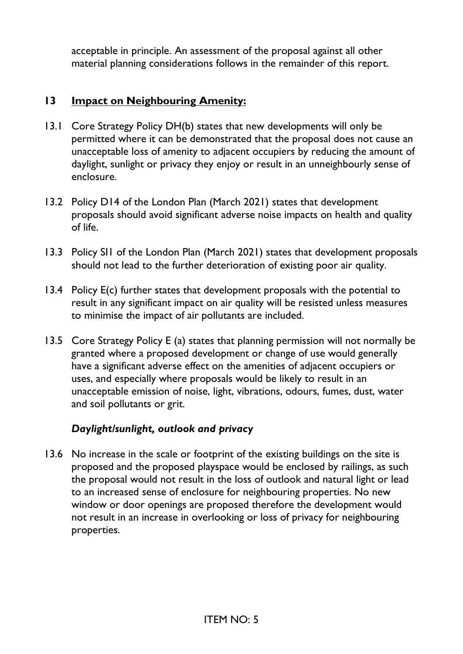acceptable in principle. An assessment of the proposal against all other material planning considerations follows in the remainder of this report.

## **13 Impact on Neighbouring Amenity:**

- 13.1 Core Strategy Policy DH(b) states that new developments will only be permitted where it can be demonstrated that the proposal does not cause an unacceptable loss of amenity to adjacent occupiers by reducing the amount of daylight, sunlight or privacy they enjoy or result in an unneighbourly sense of enclosure.
- 13.2 Policy D14 of the London Plan (March 2021) states that development proposals should avoid significant adverse noise impacts on health and quality of life.
- 13.3 Policy SI1 of the London Plan (March 2021) states that development proposals should not lead to the further deterioration of existing poor air quality.
- 13.4 Policy E(c) further states that development proposals with the potential to result in any significant impact on air quality will be resisted unless measures to minimise the impact of air pollutants are included.
- 13.5 Core Strategy Policy E (a) states that planning permission will not normally be granted where a proposed development or change of use would generally have a significant adverse effect on the amenities of adjacent occupiers or uses, and especially where proposals would be likely to result in an unacceptable emission of noise, light, vibrations, odours, fumes, dust, water and soil pollutants or grit.

## *Daylight/sunlight, outlook and privacy*

13.6 No increase in the scale or footprint of the existing buildings on the site is proposed and the proposed playspace would be enclosed by railings, as such the proposal would not result in the loss of outlook and natural light or lead to an increased sense of enclosure for neighbouring properties. No new window or door openings are proposed therefore the development would not result in an increase in overlooking or loss of privacy for neighbouring properties.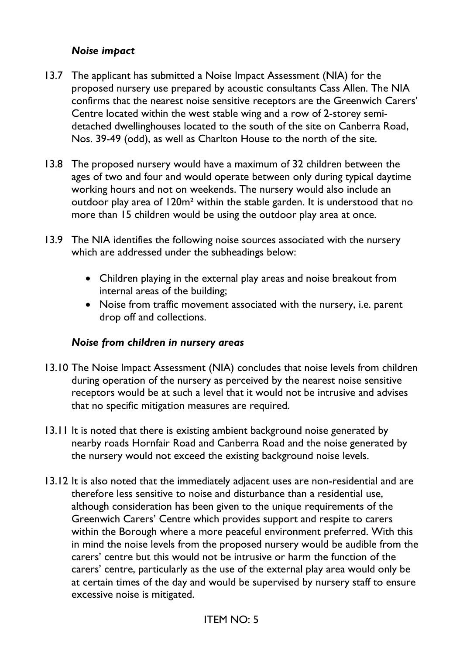#### *Noise impact*

- 13.7 The applicant has submitted a Noise Impact Assessment (NIA) for the proposed nursery use prepared by acoustic consultants Cass Allen. The NIA confirms that the nearest noise sensitive receptors are the Greenwich Carers' Centre located within the west stable wing and a row of 2-storey semidetached dwellinghouses located to the south of the site on Canberra Road, Nos. 39-49 (odd), as well as Charlton House to the north of the site.
- 13.8 The proposed nursery would have a maximum of 32 children between the ages of two and four and would operate between only during typical daytime working hours and not on weekends. The nursery would also include an outdoor play area of 120m² within the stable garden. It is understood that no more than 15 children would be using the outdoor play area at once.
- 13.9 The NIA identifies the following noise sources associated with the nursery which are addressed under the subheadings below:
	- Children playing in the external play areas and noise breakout from internal areas of the building;
	- Noise from traffic movement associated with the nursery, i.e. parent drop off and collections.

#### *Noise from children in nursery areas*

- 13.10 The Noise Impact Assessment (NIA) concludes that noise levels from children during operation of the nursery as perceived by the nearest noise sensitive receptors would be at such a level that it would not be intrusive and advises that no specific mitigation measures are required.
- 13.11 It is noted that there is existing ambient background noise generated by nearby roads Hornfair Road and Canberra Road and the noise generated by the nursery would not exceed the existing background noise levels.
- 13.12 It is also noted that the immediately adjacent uses are non-residential and are therefore less sensitive to noise and disturbance than a residential use, although consideration has been given to the unique requirements of the Greenwich Carers' Centre which provides support and respite to carers within the Borough where a more peaceful environment preferred. With this in mind the noise levels from the proposed nursery would be audible from the carers' centre but this would not be intrusive or harm the function of the carers' centre, particularly as the use of the external play area would only be at certain times of the day and would be supervised by nursery staff to ensure excessive noise is mitigated.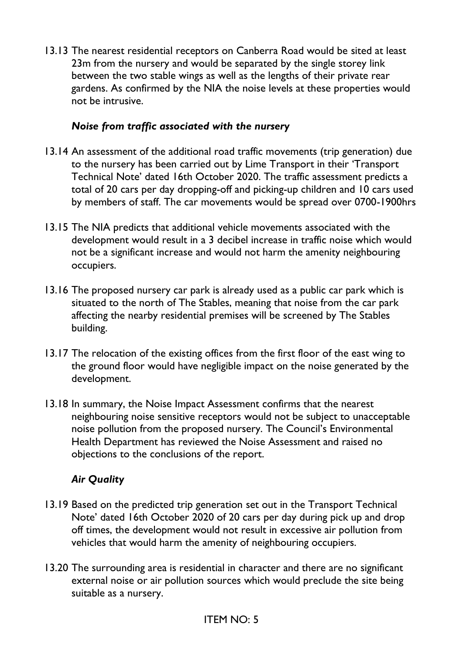13.13 The nearest residential receptors on Canberra Road would be sited at least 23m from the nursery and would be separated by the single storey link between the two stable wings as well as the lengths of their private rear gardens. As confirmed by the NIA the noise levels at these properties would not be intrusive.

### *Noise from traffic associated with the nursery*

- 13.14 An assessment of the additional road traffic movements (trip generation) due to the nursery has been carried out by Lime Transport in their 'Transport Technical Note' dated 16th October 2020. The traffic assessment predicts a total of 20 cars per day dropping-off and picking-up children and 10 cars used by members of staff. The car movements would be spread over 0700-1900hrs
- 13.15 The NIA predicts that additional vehicle movements associated with the development would result in a 3 decibel increase in traffic noise which would not be a significant increase and would not harm the amenity neighbouring occupiers.
- 13.16 The proposed nursery car park is already used as a public car park which is situated to the north of The Stables, meaning that noise from the car park affecting the nearby residential premises will be screened by The Stables building.
- 13.17 The relocation of the existing offices from the first floor of the east wing to the ground floor would have negligible impact on the noise generated by the development.
- 13.18 In summary, the Noise Impact Assessment confirms that the nearest neighbouring noise sensitive receptors would not be subject to unacceptable noise pollution from the proposed nursery. The Council's Environmental Health Department has reviewed the Noise Assessment and raised no objections to the conclusions of the report.

## *Air Quality*

- 13.19 Based on the predicted trip generation set out in the Transport Technical Note' dated 16th October 2020 of 20 cars per day during pick up and drop off times, the development would not result in excessive air pollution from vehicles that would harm the amenity of neighbouring occupiers.
- 13.20 The surrounding area is residential in character and there are no significant external noise or air pollution sources which would preclude the site being suitable as a nursery.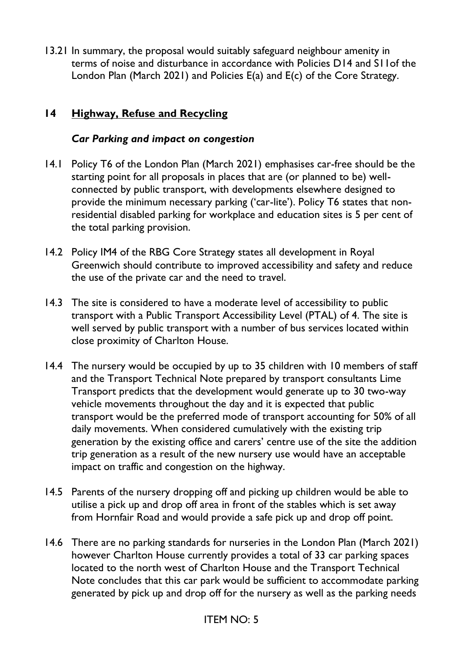13.21 In summary, the proposal would suitably safeguard neighbour amenity in terms of noise and disturbance in accordance with Policies D14 and S11of the London Plan (March 2021) and Policies E(a) and E(c) of the Core Strategy.

# **14 Highway, Refuse and Recycling**

#### *Car Parking and impact on congestion*

- 14.1 Policy T6 of the London Plan (March 2021) emphasises car-free should be the starting point for all proposals in places that are (or planned to be) wellconnected by public transport, with developments elsewhere designed to provide the minimum necessary parking ('car-lite'). Policy T6 states that nonresidential disabled parking for workplace and education sites is 5 per cent of the total parking provision.
- 14.2 Policy IM4 of the RBG Core Strategy states all development in Royal Greenwich should contribute to improved accessibility and safety and reduce the use of the private car and the need to travel.
- 14.3 The site is considered to have a moderate level of accessibility to public transport with a Public Transport Accessibility Level (PTAL) of 4. The site is well served by public transport with a number of bus services located within close proximity of Charlton House.
- 14.4 The nursery would be occupied by up to 35 children with 10 members of staff and the Transport Technical Note prepared by transport consultants Lime Transport predicts that the development would generate up to 30 two-way vehicle movements throughout the day and it is expected that public transport would be the preferred mode of transport accounting for 50% of all daily movements. When considered cumulatively with the existing trip generation by the existing office and carers' centre use of the site the addition trip generation as a result of the new nursery use would have an acceptable impact on traffic and congestion on the highway.
- 14.5 Parents of the nursery dropping off and picking up children would be able to utilise a pick up and drop off area in front of the stables which is set away from Hornfair Road and would provide a safe pick up and drop off point.
- 14.6 There are no parking standards for nurseries in the London Plan (March 2021) however Charlton House currently provides a total of 33 car parking spaces located to the north west of Charlton House and the Transport Technical Note concludes that this car park would be sufficient to accommodate parking generated by pick up and drop off for the nursery as well as the parking needs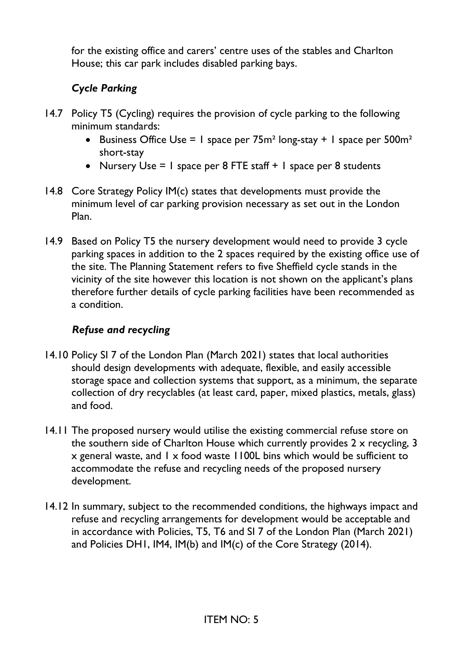for the existing office and carers' centre uses of the stables and Charlton House; this car park includes disabled parking bays.

# *Cycle Parking*

- 14.7 Policy T5 (Cycling) requires the provision of cycle parking to the following minimum standards:
	- Business Office Use  $= 1$  space per 75m<sup>2</sup> long-stay  $+ 1$  space per 500m<sup>2</sup> short-stay
	- Nursery Use  $= 1$  space per 8 FTE staff  $+ 1$  space per 8 students
- 14.8 Core Strategy Policy IM(c) states that developments must provide the minimum level of car parking provision necessary as set out in the London Plan.
- 14.9 Based on Policy T5 the nursery development would need to provide 3 cycle parking spaces in addition to the 2 spaces required by the existing office use of the site. The Planning Statement refers to five Sheffield cycle stands in the vicinity of the site however this location is not shown on the applicant's plans therefore further details of cycle parking facilities have been recommended as a condition.

## *Refuse and recycling*

- 14.10 Policy SI 7 of the London Plan (March 2021) states that local authorities should design developments with adequate, flexible, and easily accessible storage space and collection systems that support, as a minimum, the separate collection of dry recyclables (at least card, paper, mixed plastics, metals, glass) and food.
- 14.11 The proposed nursery would utilise the existing commercial refuse store on the southern side of Charlton House which currently provides 2 x recycling, 3 x general waste, and 1 x food waste 1100L bins which would be sufficient to accommodate the refuse and recycling needs of the proposed nursery development.
- 14.12 In summary, subject to the recommended conditions, the highways impact and refuse and recycling arrangements for development would be acceptable and in accordance with Policies, T5, T6 and SI 7 of the London Plan (March 2021) and Policies DH1, IM4, IM(b) and IM(c) of the Core Strategy (2014).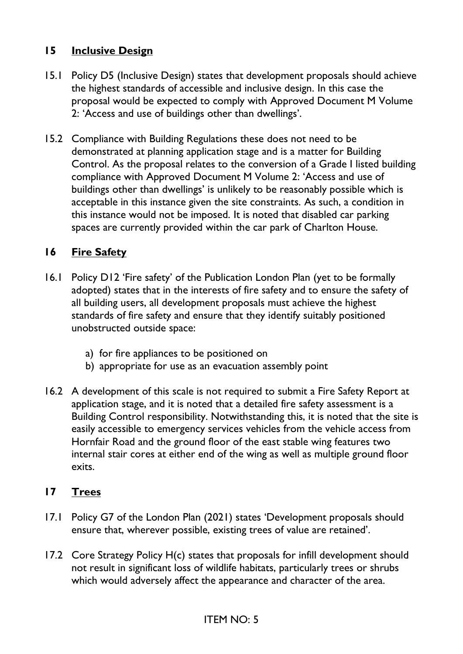### **15 Inclusive Design**

- 15.1 Policy D5 (Inclusive Design) states that development proposals should achieve the highest standards of accessible and inclusive design. In this case the proposal would be expected to comply with Approved Document M Volume 2: 'Access and use of buildings other than dwellings'.
- 15.2 Compliance with Building Regulations these does not need to be demonstrated at planning application stage and is a matter for Building Control. As the proposal relates to the conversion of a Grade I listed building compliance with Approved Document M Volume 2: 'Access and use of buildings other than dwellings' is unlikely to be reasonably possible which is acceptable in this instance given the site constraints. As such, a condition in this instance would not be imposed. It is noted that disabled car parking spaces are currently provided within the car park of Charlton House.

## **16 Fire Safety**

- 16.1 Policy D12 'Fire safety' of the Publication London Plan (yet to be formally adopted) states that in the interests of fire safety and to ensure the safety of all building users, all development proposals must achieve the highest standards of fire safety and ensure that they identify suitably positioned unobstructed outside space:
	- a) for fire appliances to be positioned on
	- b) appropriate for use as an evacuation assembly point
- 16.2 A development of this scale is not required to submit a Fire Safety Report at application stage, and it is noted that a detailed fire safety assessment is a Building Control responsibility. Notwithstanding this, it is noted that the site is easily accessible to emergency services vehicles from the vehicle access from Hornfair Road and the ground floor of the east stable wing features two internal stair cores at either end of the wing as well as multiple ground floor exits.

#### **17 Trees**

- 17.1 Policy G7 of the London Plan (2021) states 'Development proposals should ensure that, wherever possible, existing trees of value are retained'.
- 17.2 Core Strategy Policy H(c) states that proposals for infill development should not result in significant loss of wildlife habitats, particularly trees or shrubs which would adversely affect the appearance and character of the area.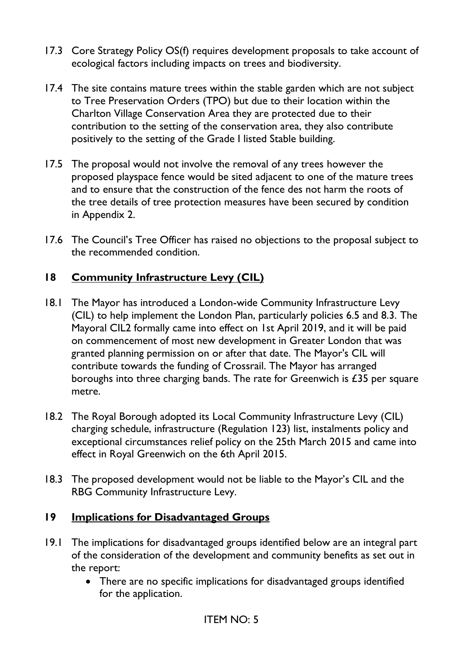- 17.3 Core Strategy Policy OS(f) requires development proposals to take account of ecological factors including impacts on trees and biodiversity.
- 17.4 The site contains mature trees within the stable garden which are not subject to Tree Preservation Orders (TPO) but due to their location within the Charlton Village Conservation Area they are protected due to their contribution to the setting of the conservation area, they also contribute positively to the setting of the Grade I listed Stable building.
- 17.5 The proposal would not involve the removal of any trees however the proposed playspace fence would be sited adjacent to one of the mature trees and to ensure that the construction of the fence des not harm the roots of the tree details of tree protection measures have been secured by condition in Appendix 2.
- 17.6 The Council's Tree Officer has raised no objections to the proposal subject to the recommended condition.

# **18 Community Infrastructure Levy (CIL)**

- 18.1 The Mayor has introduced a London-wide Community Infrastructure Levy (CIL) to help implement the London Plan, particularly policies 6.5 and 8.3. The Mayoral CIL2 formally came into effect on 1st April 2019, and it will be paid on commencement of most new development in Greater London that was granted planning permission on or after that date. The Mayor's CIL will contribute towards the funding of Crossrail. The Mayor has arranged boroughs into three charging bands. The rate for Greenwich is £35 per square metre.
- 18.2 The Royal Borough adopted its Local Community Infrastructure Levy (CIL) charging schedule, infrastructure (Regulation 123) list, instalments policy and exceptional circumstances relief policy on the 25th March 2015 and came into effect in Royal Greenwich on the 6th April 2015.
- 18.3 The proposed development would not be liable to the Mayor's CIL and the RBG Community Infrastructure Levy.

## **19 Implications for Disadvantaged Groups**

- 19.1 The implications for disadvantaged groups identified below are an integral part of the consideration of the development and community benefits as set out in the report:
	- There are no specific implications for disadvantaged groups identified for the application.